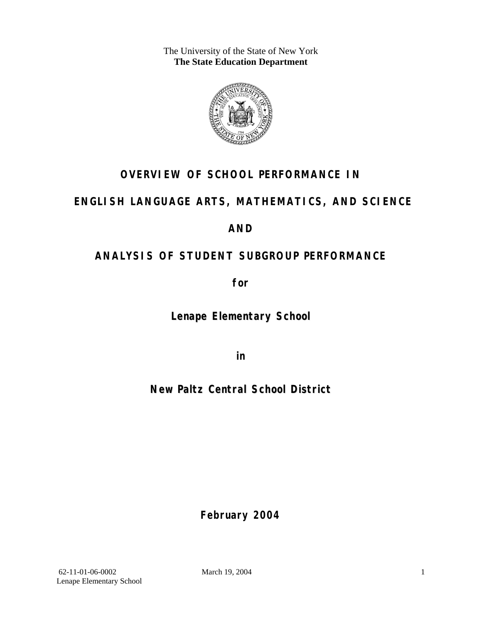The University of the State of New York **The State Education Department** 



# **OVERVIEW OF SCHOOL PERFORMANCE IN**

### **ENGLISH LANGUAGE ARTS, MATHEMATICS, AND SCIENCE**

### **AND**

# **ANALYSIS OF STUDENT SUBGROUP PERFORMANCE**

**for** 

**Lenape Elementary School**

**in** 

**New Paltz Central School District**

**February 2004**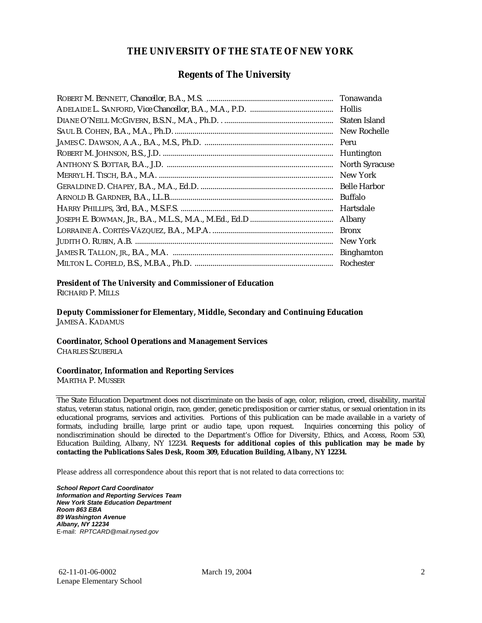#### **THE UNIVERSITY OF THE STATE OF NEW YORK**

#### **Regents of The University**

| Tonawanda             |
|-----------------------|
| <b>Hollis</b>         |
| Staten Island         |
| New Rochelle          |
| Peru                  |
| Huntington            |
| <b>North Syracuse</b> |
| New York              |
| <b>Belle Harbor</b>   |
| Buffalo               |
| Hartsdale             |
| Albany                |
| <b>Bronx</b>          |
| New York              |
| <b>Binghamton</b>     |
| Rochester             |

#### **President of The University and Commissioner of Education**

RICHARD P. MILLS

**Deputy Commissioner for Elementary, Middle, Secondary and Continuing Education**  JAMES A. KADAMUS

#### **Coordinator, School Operations and Management Services**

CHARLES SZUBERLA

#### **Coordinator, Information and Reporting Services**

MARTHA P. MUSSER

The State Education Department does not discriminate on the basis of age, color, religion, creed, disability, marital status, veteran status, national origin, race, gender, genetic predisposition or carrier status, or sexual orientation in its educational programs, services and activities. Portions of this publication can be made available in a variety of formats, including braille, large print or audio tape, upon request. Inquiries concerning this policy of nondiscrimination should be directed to the Department's Office for Diversity, Ethics, and Access, Room 530, Education Building, Albany, NY 12234. **Requests for additional copies of this publication may be made by contacting the Publications Sales Desk, Room 309, Education Building, Albany, NY 12234.** 

Please address all correspondence about this report that is not related to data corrections to:

*School Report Card Coordinator Information and Reporting Services Team New York State Education Department Room 863 EBA 89 Washington Avenue Albany, NY 12234*  E-mail: *RPTCARD@mail.nysed.gov*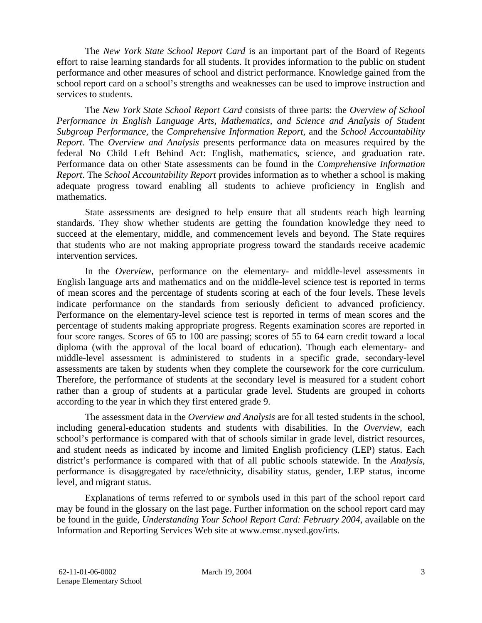The *New York State School Report Card* is an important part of the Board of Regents effort to raise learning standards for all students. It provides information to the public on student performance and other measures of school and district performance. Knowledge gained from the school report card on a school's strengths and weaknesses can be used to improve instruction and services to students.

The *New York State School Report Card* consists of three parts: the *Overview of School Performance in English Language Arts, Mathematics, and Science and Analysis of Student Subgroup Performance,* the *Comprehensive Information Report,* and the *School Accountability Report*. The *Overview and Analysis* presents performance data on measures required by the federal No Child Left Behind Act: English, mathematics, science, and graduation rate. Performance data on other State assessments can be found in the *Comprehensive Information Report*. The *School Accountability Report* provides information as to whether a school is making adequate progress toward enabling all students to achieve proficiency in English and mathematics.

State assessments are designed to help ensure that all students reach high learning standards. They show whether students are getting the foundation knowledge they need to succeed at the elementary, middle, and commencement levels and beyond. The State requires that students who are not making appropriate progress toward the standards receive academic intervention services.

In the *Overview*, performance on the elementary- and middle-level assessments in English language arts and mathematics and on the middle-level science test is reported in terms of mean scores and the percentage of students scoring at each of the four levels. These levels indicate performance on the standards from seriously deficient to advanced proficiency. Performance on the elementary-level science test is reported in terms of mean scores and the percentage of students making appropriate progress. Regents examination scores are reported in four score ranges. Scores of 65 to 100 are passing; scores of 55 to 64 earn credit toward a local diploma (with the approval of the local board of education). Though each elementary- and middle-level assessment is administered to students in a specific grade, secondary-level assessments are taken by students when they complete the coursework for the core curriculum. Therefore, the performance of students at the secondary level is measured for a student cohort rather than a group of students at a particular grade level. Students are grouped in cohorts according to the year in which they first entered grade 9.

The assessment data in the *Overview and Analysis* are for all tested students in the school, including general-education students and students with disabilities. In the *Overview*, each school's performance is compared with that of schools similar in grade level, district resources, and student needs as indicated by income and limited English proficiency (LEP) status. Each district's performance is compared with that of all public schools statewide. In the *Analysis*, performance is disaggregated by race/ethnicity, disability status, gender, LEP status, income level, and migrant status.

Explanations of terms referred to or symbols used in this part of the school report card may be found in the glossary on the last page. Further information on the school report card may be found in the guide, *Understanding Your School Report Card: February 2004*, available on the Information and Reporting Services Web site at www.emsc.nysed.gov/irts.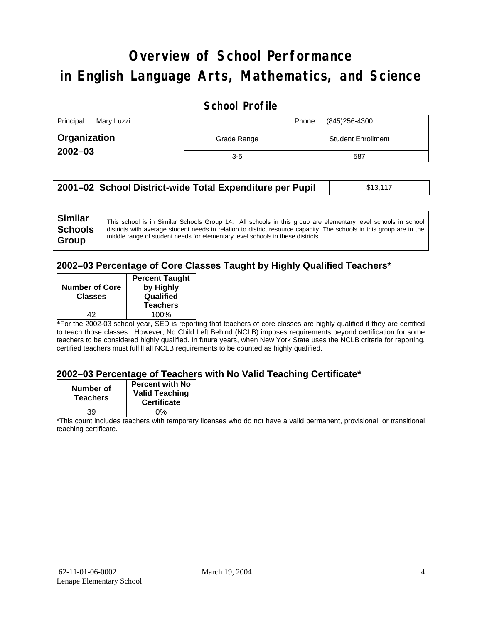# **Overview of School Performance in English Language Arts, Mathematics, and Science**

### **School Profile**

| Principal:<br>Marv Luzzi | (845)256-4300<br>Phone: |                           |
|--------------------------|-------------------------|---------------------------|
| <b>□ Organization</b>    | Grade Range             | <b>Student Enrollment</b> |
| $2002 - 03$              | $3-5$                   | 587                       |

| 2001-02 School District-wide Total Expenditure per Pupil | \$13,117 |
|----------------------------------------------------------|----------|
|----------------------------------------------------------|----------|

### **2002–03 Percentage of Core Classes Taught by Highly Qualified Teachers\***

| <b>Percent Taught</b>  |
|------------------------|
| by Highly<br>Qualified |
| <b>Teachers</b>        |
| 100%                   |
|                        |

\*For the 2002-03 school year, SED is reporting that teachers of core classes are highly qualified if they are certified to teach those classes. However, No Child Left Behind (NCLB) imposes requirements beyond certification for some teachers to be considered highly qualified. In future years, when New York State uses the NCLB criteria for reporting, certified teachers must fulfill all NCLB requirements to be counted as highly qualified.

#### **2002–03 Percentage of Teachers with No Valid Teaching Certificate\***

| Number of<br><b>Teachers</b> | <b>Percent with No</b><br><b>Valid Teaching</b><br><b>Certificate</b> |
|------------------------------|-----------------------------------------------------------------------|
| 39                           | ሰ%                                                                    |

\*This count includes teachers with temporary licenses who do not have a valid permanent, provisional, or transitional teaching certificate.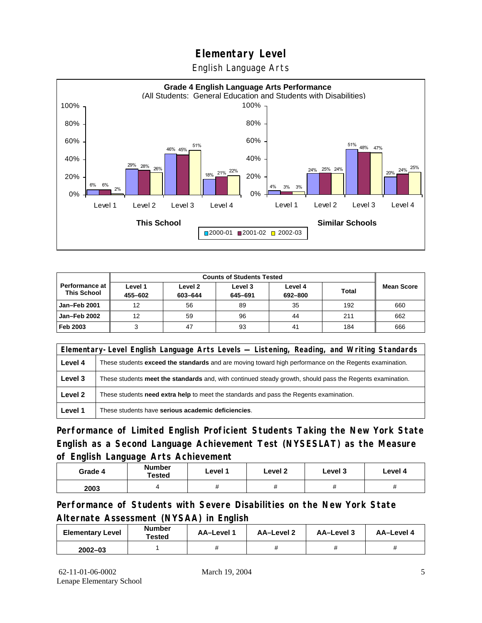English Language Arts



|                                      |                    | <b>Counts of Students Tested</b> |                    |                    |              |                   |
|--------------------------------------|--------------------|----------------------------------|--------------------|--------------------|--------------|-------------------|
| Performance at<br><b>This School</b> | Level 1<br>455-602 | Level 2<br>603-644               | Level 3<br>645-691 | Level 4<br>692-800 | <b>Total</b> | <b>Mean Score</b> |
| Jan-Feb 2001                         | 12                 | 56                               | 89                 | 35                 | 192          | 660               |
| <b>Jan-Feb 2002</b>                  | 12                 | 59                               | 96                 | 44                 | 211          | 662               |
| Feb 2003                             |                    | 47                               | 93                 | 41                 | 184          | 666               |

| Elementary-Level English Language Arts Levels — Listening, Reading, and Writing Standards |                                                                                                               |  |  |  |
|-------------------------------------------------------------------------------------------|---------------------------------------------------------------------------------------------------------------|--|--|--|
| Level 4                                                                                   | These students <b>exceed the standards</b> and are moving toward high performance on the Regents examination. |  |  |  |
| Level 3                                                                                   | These students meet the standards and, with continued steady growth, should pass the Regents examination.     |  |  |  |
| Level 2                                                                                   | These students <b>need extra help</b> to meet the standards and pass the Regents examination.                 |  |  |  |
| Level 1                                                                                   | These students have serious academic deficiencies.                                                            |  |  |  |

**Performance of Limited English Proficient Students Taking the New York State English as a Second Language Achievement Test (NYSESLAT) as the Measure of English Language Arts Achievement**

| Grade 4 | <b>Number</b><br>Tested | Level 1 | Level 2 | Level 3  | Level 4  |
|---------|-------------------------|---------|---------|----------|----------|
| 2003    |                         | #       | π       | $^{\pi}$ | $^{\pi}$ |

**Performance of Students with Severe Disabilities on the New York State Alternate Assessment (NYSAA) in English** 

| <b>Elementary Level</b> | <b>Number</b><br>Tested | AA-Level 1 | AA-Level 2 | AA-Level 3 | AA-Level 4 |
|-------------------------|-------------------------|------------|------------|------------|------------|
| $2002 - 03$             |                         |            |            |            |            |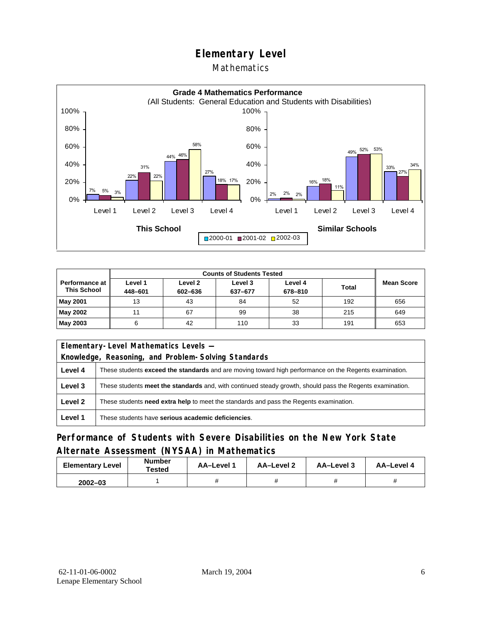### Mathematics



|                                             | <b>Counts of Students Tested</b> |                    |                    |                    |       |            |
|---------------------------------------------|----------------------------------|--------------------|--------------------|--------------------|-------|------------|
| <b>Performance at</b><br><b>This School</b> | Level 1<br>448-601               | Level 2<br>602-636 | Level 3<br>637-677 | Level 4<br>678-810 | Total | Mean Score |
| May 2001                                    | 13                               | 43                 | 84                 | 52                 | 192   | 656        |
| May 2002                                    | 11                               | 67                 | 99                 | 38                 | 215   | 649        |
| May 2003                                    | 6                                | 42                 | 110                | 33                 | 191   | 653        |

|                                                                                                   | Elementary-Level Mathematics Levels -                                                                         |  |  |  |
|---------------------------------------------------------------------------------------------------|---------------------------------------------------------------------------------------------------------------|--|--|--|
|                                                                                                   | Knowledge, Reasoning, and Problem-Solving Standards                                                           |  |  |  |
| Level 4                                                                                           | These students <b>exceed the standards</b> and are moving toward high performance on the Regents examination. |  |  |  |
| Level 3                                                                                           | These students meet the standards and, with continued steady growth, should pass the Regents examination.     |  |  |  |
| Level 2<br>These students need extra help to meet the standards and pass the Regents examination. |                                                                                                               |  |  |  |
| Level 1                                                                                           | These students have serious academic deficiencies.                                                            |  |  |  |

### **Performance of Students with Severe Disabilities on the New York State Alternate Assessment (NYSAA) in Mathematics**

| <b>Elementary Level</b> | <b>Number</b><br>Tested | AA-Level 1 | AA-Level 2 | AA-Level 3 | AA-Level 4 |  |
|-------------------------|-------------------------|------------|------------|------------|------------|--|
| $2002 - 03$             |                         |            |            |            |            |  |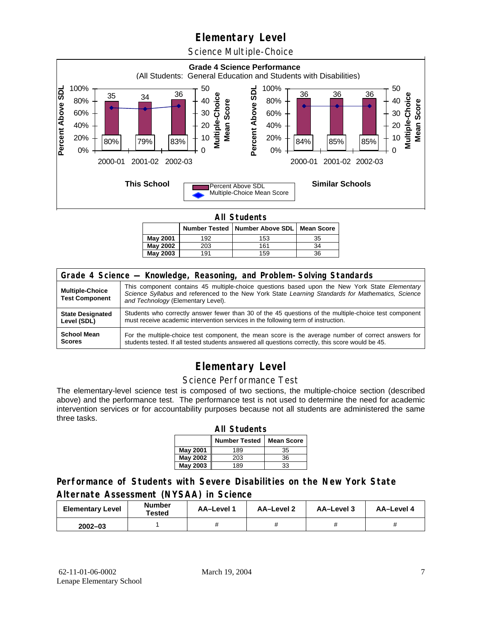Science Multiple-Choice



**All Students** 

|          |     | Number Tested   Number Above SDL   Mean Score |    |
|----------|-----|-----------------------------------------------|----|
| May 2001 | 192 | 153                                           | 35 |
| May 2002 | 203 | 161                                           | 34 |
| May 2003 | 191 | 159                                           | 36 |

| Grade 4 Science - Knowledge, Reasoning, and Problem-Solving Standards |                                                                                                                                                                                                                                          |  |  |  |  |  |
|-----------------------------------------------------------------------|------------------------------------------------------------------------------------------------------------------------------------------------------------------------------------------------------------------------------------------|--|--|--|--|--|
| <b>Multiple-Choice</b><br><b>Test Component</b>                       | This component contains 45 multiple-choice questions based upon the New York State Elementary<br>Science Syllabus and referenced to the New York State Learning Standards for Mathematics, Science<br>and Technology (Elementary Level). |  |  |  |  |  |
| <b>State Designated</b>                                               | Students who correctly answer fewer than 30 of the 45 questions of the multiple-choice test component                                                                                                                                    |  |  |  |  |  |
| Level (SDL)                                                           | must receive academic intervention services in the following term of instruction.                                                                                                                                                        |  |  |  |  |  |
| <b>School Mean</b>                                                    | For the multiple-choice test component, the mean score is the average number of correct answers for                                                                                                                                      |  |  |  |  |  |
| <b>Scores</b>                                                         | students tested. If all tested students answered all questions correctly, this score would be 45.                                                                                                                                        |  |  |  |  |  |

# **Elementary Level**

#### Science Performance Test

The elementary-level science test is composed of two sections, the multiple-choice section (described above) and the performance test. The performance test is not used to determine the need for academic intervention services or for accountability purposes because not all students are administered the same three tasks.

| <b>All Students</b>                       |     |    |  |  |  |  |  |  |  |
|-------------------------------------------|-----|----|--|--|--|--|--|--|--|
| <b>Number Tested</b><br><b>Mean Score</b> |     |    |  |  |  |  |  |  |  |
| May 2001                                  | 189 | 35 |  |  |  |  |  |  |  |
| May 2002                                  | 203 | 36 |  |  |  |  |  |  |  |
| <b>May 2003</b>                           | 189 | 33 |  |  |  |  |  |  |  |

### **Performance of Students with Severe Disabilities on the New York State Alternate Assessment (NYSAA) in Science**

| <b>Elementary Level</b> | <b>Number</b><br>Tested | AA-Level 1 | <b>AA-Level 2</b> | AA-Level 3 | AA-Level 4 |  |
|-------------------------|-------------------------|------------|-------------------|------------|------------|--|
| $2002 - 03$             |                         |            |                   |            |            |  |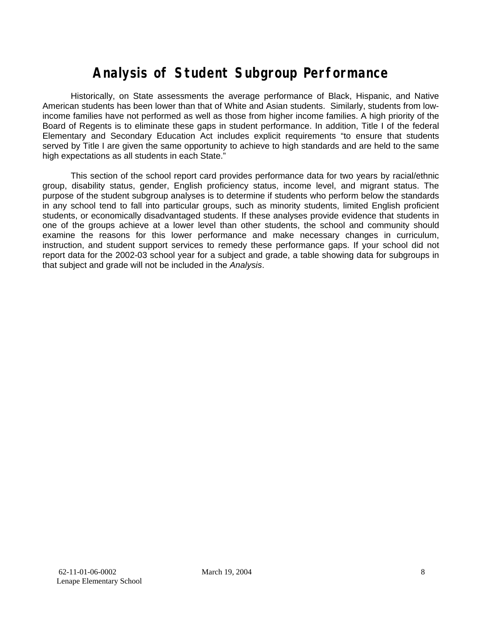# **Analysis of Student Subgroup Performance**

Historically, on State assessments the average performance of Black, Hispanic, and Native American students has been lower than that of White and Asian students. Similarly, students from lowincome families have not performed as well as those from higher income families. A high priority of the Board of Regents is to eliminate these gaps in student performance. In addition, Title I of the federal Elementary and Secondary Education Act includes explicit requirements "to ensure that students served by Title I are given the same opportunity to achieve to high standards and are held to the same high expectations as all students in each State."

This section of the school report card provides performance data for two years by racial/ethnic group, disability status, gender, English proficiency status, income level, and migrant status. The purpose of the student subgroup analyses is to determine if students who perform below the standards in any school tend to fall into particular groups, such as minority students, limited English proficient students, or economically disadvantaged students. If these analyses provide evidence that students in one of the groups achieve at a lower level than other students, the school and community should examine the reasons for this lower performance and make necessary changes in curriculum, instruction, and student support services to remedy these performance gaps. If your school did not report data for the 2002-03 school year for a subject and grade, a table showing data for subgroups in that subject and grade will not be included in the *Analysis*.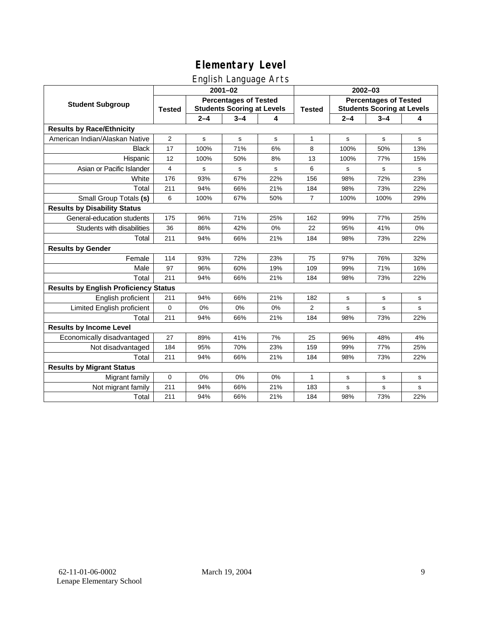### English Language Arts

|                                              | ັ<br>$2001 - 02$                                                                   |         |             |               | 2002-03                                                           |             |             |           |
|----------------------------------------------|------------------------------------------------------------------------------------|---------|-------------|---------------|-------------------------------------------------------------------|-------------|-------------|-----------|
| <b>Student Subgroup</b>                      | <b>Percentages of Tested</b><br><b>Students Scoring at Levels</b><br><b>Tested</b> |         |             | <b>Tested</b> | <b>Percentages of Tested</b><br><b>Students Scoring at Levels</b> |             |             |           |
|                                              |                                                                                    | $2 - 4$ | $3 - 4$     | 4             |                                                                   | $2 - 4$     | $3 - 4$     | 4         |
| <b>Results by Race/Ethnicity</b>             |                                                                                    |         |             |               |                                                                   |             |             |           |
| American Indian/Alaskan Native               | $\overline{2}$                                                                     | s       | $\mathbf s$ | s             | 1                                                                 | s           | $\mathbf s$ | s         |
| <b>Black</b>                                 | 17                                                                                 | 100%    | 71%         | 6%            | 8                                                                 | 100%        | 50%         | 13%       |
| Hispanic                                     | 12                                                                                 | 100%    | 50%         | 8%            | 13                                                                | 100%        | 77%         | 15%       |
| Asian or Pacific Islander                    | 4                                                                                  | s       | s           | s             | 6                                                                 | s           | s           | ${\tt s}$ |
| White                                        | 176                                                                                | 93%     | 67%         | 22%           | 156                                                               | 98%         | 72%         | 23%       |
| Total                                        | 211                                                                                | 94%     | 66%         | 21%           | 184                                                               | 98%         | 73%         | 22%       |
| Small Group Totals (s)                       | 6                                                                                  | 100%    | 67%         | 50%           | $\overline{7}$                                                    | 100%        | 100%        | 29%       |
| <b>Results by Disability Status</b>          |                                                                                    |         |             |               |                                                                   |             |             |           |
| General-education students                   | 175                                                                                | 96%     | 71%         | 25%           | 162                                                               | 99%         | 77%         | 25%       |
| Students with disabilities                   | 36                                                                                 | 86%     | 42%         | 0%            | 22                                                                | 95%         | 41%         | $0\%$     |
| Total                                        | 211                                                                                | 94%     | 66%         | 21%           | 184                                                               | 98%         | 73%         | 22%       |
| <b>Results by Gender</b>                     |                                                                                    |         |             |               |                                                                   |             |             |           |
| Female                                       | 114                                                                                | 93%     | 72%         | 23%           | 75                                                                | 97%         | 76%         | 32%       |
| Male                                         | 97                                                                                 | 96%     | 60%         | 19%           | 109                                                               | 99%         | 71%         | 16%       |
| Total                                        | 211                                                                                | 94%     | 66%         | 21%           | 184                                                               | 98%         | 73%         | 22%       |
| <b>Results by English Proficiency Status</b> |                                                                                    |         |             |               |                                                                   |             |             |           |
| English proficient                           | 211                                                                                | 94%     | 66%         | 21%           | 182                                                               | s           | s           | s         |
| Limited English proficient                   | $\mathbf 0$                                                                        | 0%      | 0%          | 0%            | 2                                                                 | $\mathbf s$ | s           | s         |
| Total                                        | 211                                                                                | 94%     | 66%         | 21%           | 184                                                               | 98%         | 73%         | 22%       |
| <b>Results by Income Level</b>               |                                                                                    |         |             |               |                                                                   |             |             |           |
| Economically disadvantaged                   | 27                                                                                 | 89%     | 41%         | 7%            | 25                                                                | 96%         | 48%         | 4%        |
| Not disadvantaged                            | 184                                                                                | 95%     | 70%         | 23%           | 159                                                               | 99%         | 77%         | 25%       |
| Total                                        | 211                                                                                | 94%     | 66%         | 21%           | 184                                                               | 98%         | 73%         | 22%       |
| <b>Results by Migrant Status</b>             |                                                                                    |         |             |               |                                                                   |             |             |           |
| Migrant family                               | $\mathbf 0$                                                                        | 0%      | 0%          | 0%            | 1                                                                 | s           | s           | s         |
| Not migrant family                           | 211                                                                                | 94%     | 66%         | 21%           | 183                                                               | s           | s           | s         |
| Total                                        | 211                                                                                | 94%     | 66%         | 21%           | 184                                                               | 98%         | 73%         | 22%       |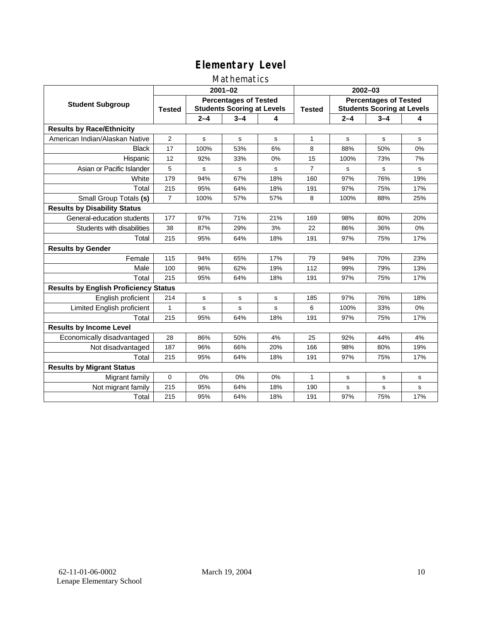### Mathematics

|                                              | $2001 - 02$                                                                        |             |             |               | $2002 - 03$                                                       |         |         |             |
|----------------------------------------------|------------------------------------------------------------------------------------|-------------|-------------|---------------|-------------------------------------------------------------------|---------|---------|-------------|
| <b>Student Subgroup</b>                      | <b>Percentages of Tested</b><br><b>Students Scoring at Levels</b><br><b>Tested</b> |             |             | <b>Tested</b> | <b>Percentages of Tested</b><br><b>Students Scoring at Levels</b> |         |         |             |
|                                              |                                                                                    | $2 - 4$     | $3 - 4$     | 4             |                                                                   | $2 - 4$ | $3 - 4$ | 4           |
| <b>Results by Race/Ethnicity</b>             |                                                                                    |             |             |               |                                                                   |         |         |             |
| American Indian/Alaskan Native               | $\overline{2}$                                                                     | s           | s           | s             | 1                                                                 | s       | s       | s           |
| <b>Black</b>                                 | 17                                                                                 | 100%        | 53%         | 6%            | 8                                                                 | 88%     | 50%     | 0%          |
| Hispanic                                     | 12                                                                                 | 92%         | 33%         | 0%            | 15                                                                | 100%    | 73%     | 7%          |
| Asian or Pacific Islander                    | 5                                                                                  | s           | $\mathbf s$ | s             | $\overline{7}$                                                    | s       | s       | s           |
| White                                        | 179                                                                                | 94%         | 67%         | 18%           | 160                                                               | 97%     | 76%     | 19%         |
| Total                                        | 215                                                                                | 95%         | 64%         | 18%           | 191                                                               | 97%     | 75%     | 17%         |
| Small Group Totals (s)                       | $\overline{7}$                                                                     | 100%        | 57%         | 57%           | 8                                                                 | 100%    | 88%     | 25%         |
| <b>Results by Disability Status</b>          |                                                                                    |             |             |               |                                                                   |         |         |             |
| General-education students                   | 177                                                                                | 97%         | 71%         | 21%           | 169                                                               | 98%     | 80%     | 20%         |
| Students with disabilities                   | 38                                                                                 | 87%         | 29%         | 3%            | 22                                                                | 86%     | 36%     | 0%          |
| Total                                        | 215                                                                                | 95%         | 64%         | 18%           | 191                                                               | 97%     | 75%     | 17%         |
| <b>Results by Gender</b>                     |                                                                                    |             |             |               |                                                                   |         |         |             |
| Female                                       | 115                                                                                | 94%         | 65%         | 17%           | 79                                                                | 94%     | 70%     | 23%         |
| Male                                         | 100                                                                                | 96%         | 62%         | 19%           | 112                                                               | 99%     | 79%     | 13%         |
| Total                                        | 215                                                                                | 95%         | 64%         | 18%           | 191                                                               | 97%     | 75%     | 17%         |
| <b>Results by English Proficiency Status</b> |                                                                                    |             |             |               |                                                                   |         |         |             |
| English proficient                           | 214                                                                                | $\mathbf s$ | s           | s             | 185                                                               | 97%     | 76%     | 18%         |
| Limited English proficient                   | $\mathbf{1}$                                                                       | s           | s           | s             | 6                                                                 | 100%    | 33%     | 0%          |
| Total                                        | 215                                                                                | 95%         | 64%         | 18%           | 191                                                               | 97%     | 75%     | 17%         |
| <b>Results by Income Level</b>               |                                                                                    |             |             |               |                                                                   |         |         |             |
| Economically disadvantaged                   | 28                                                                                 | 86%         | 50%         | 4%            | 25                                                                | 92%     | 44%     | 4%          |
| Not disadvantaged                            | 187                                                                                | 96%         | 66%         | 20%           | 166                                                               | 98%     | 80%     | 19%         |
| Total                                        | 215                                                                                | 95%         | 64%         | 18%           | 191                                                               | 97%     | 75%     | 17%         |
| <b>Results by Migrant Status</b>             |                                                                                    |             |             |               |                                                                   |         |         |             |
| Migrant family                               | 0                                                                                  | 0%          | 0%          | 0%            | $\mathbf{1}$                                                      | s       | s       | s           |
| Not migrant family                           | 215                                                                                | 95%         | 64%         | 18%           | 190                                                               | s       | s       | $\mathbf s$ |
| Total                                        | 215                                                                                | 95%         | 64%         | 18%           | 191                                                               | 97%     | 75%     | 17%         |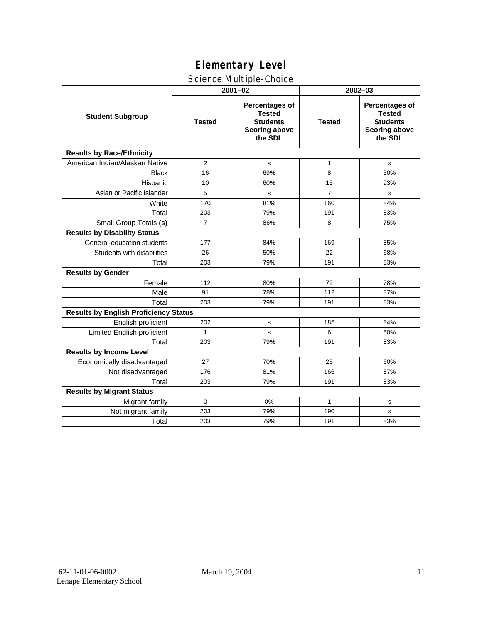### Science Multiple-Choice

|                                              | $2001 - 02$    |                                                                                              | $2002 - 03$    |                                                                                              |  |  |  |
|----------------------------------------------|----------------|----------------------------------------------------------------------------------------------|----------------|----------------------------------------------------------------------------------------------|--|--|--|
| <b>Student Subgroup</b>                      | <b>Tested</b>  | <b>Percentages of</b><br><b>Tested</b><br><b>Students</b><br><b>Scoring above</b><br>the SDL | <b>Tested</b>  | <b>Percentages of</b><br><b>Tested</b><br><b>Students</b><br><b>Scoring above</b><br>the SDL |  |  |  |
| <b>Results by Race/Ethnicity</b>             |                |                                                                                              |                |                                                                                              |  |  |  |
| American Indian/Alaskan Native               | 2              | s                                                                                            | $\mathbf{1}$   | s                                                                                            |  |  |  |
| <b>Black</b>                                 | 16             | 69%                                                                                          | 8              | 50%                                                                                          |  |  |  |
| Hispanic                                     | 10             | 60%                                                                                          | 15             | 93%                                                                                          |  |  |  |
| Asian or Pacific Islander                    | 5              | s                                                                                            | $\overline{7}$ | s                                                                                            |  |  |  |
| White                                        | 170            | 81%                                                                                          | 160            | 84%                                                                                          |  |  |  |
| Total                                        | 203            | 79%                                                                                          | 191            | 83%                                                                                          |  |  |  |
| Small Group Totals (s)                       | $\overline{7}$ | 86%                                                                                          | 8              | 75%                                                                                          |  |  |  |
| <b>Results by Disability Status</b>          |                |                                                                                              |                |                                                                                              |  |  |  |
| General-education students                   | 177            | 84%                                                                                          | 169            | 85%                                                                                          |  |  |  |
| Students with disabilities                   | 26             | 50%                                                                                          | 22             | 68%                                                                                          |  |  |  |
| Total                                        | 203            | 79%                                                                                          | 191            | 83%                                                                                          |  |  |  |
| <b>Results by Gender</b>                     |                |                                                                                              |                |                                                                                              |  |  |  |
| Female                                       | 112            | 80%                                                                                          | 79             | 78%                                                                                          |  |  |  |
| Male                                         | 91             | 78%                                                                                          | 112            | 87%                                                                                          |  |  |  |
| Total                                        | 203            | 79%                                                                                          | 191            | 83%                                                                                          |  |  |  |
| <b>Results by English Proficiency Status</b> |                |                                                                                              |                |                                                                                              |  |  |  |
| English proficient                           | 202            | s                                                                                            | 185            | 84%                                                                                          |  |  |  |
| Limited English proficient                   | 1              | s                                                                                            | 6              | 50%                                                                                          |  |  |  |
| Total                                        | 203            | 79%                                                                                          | 191            | 83%                                                                                          |  |  |  |
| <b>Results by Income Level</b>               |                |                                                                                              |                |                                                                                              |  |  |  |
| Economically disadvantaged                   | 27             | 70%                                                                                          | 25             | 60%                                                                                          |  |  |  |
| Not disadvantaged                            | 176            | 81%                                                                                          | 166            | 87%                                                                                          |  |  |  |
| Total                                        | 203            | 79%                                                                                          | 191            | 83%                                                                                          |  |  |  |
| <b>Results by Migrant Status</b>             |                |                                                                                              |                |                                                                                              |  |  |  |
| Migrant family                               | $\mathbf 0$    | 0%                                                                                           | $\mathbf{1}$   | $\mathbf s$                                                                                  |  |  |  |
| Not migrant family                           | 203            | 79%                                                                                          | 190            | s                                                                                            |  |  |  |
| Total                                        | 203            | 79%                                                                                          | 191            | 83%                                                                                          |  |  |  |